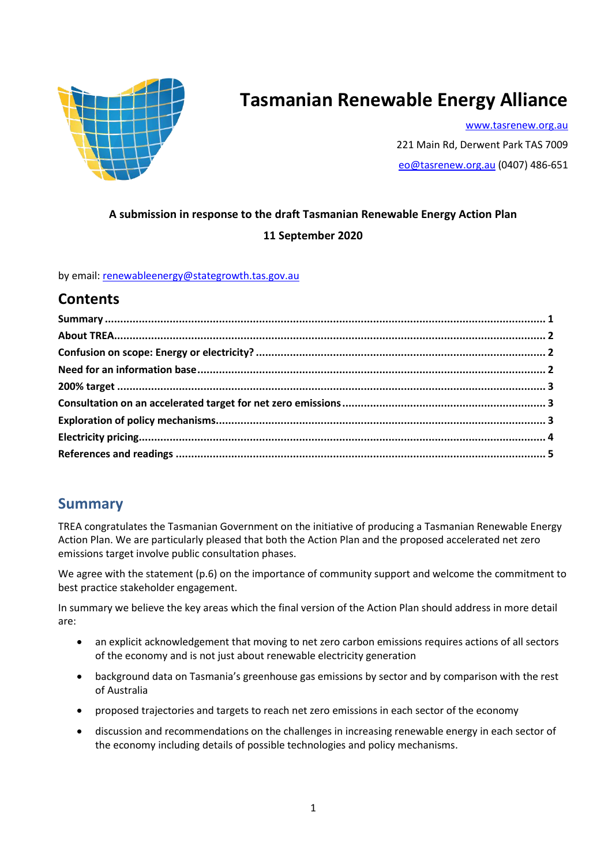

# **Tasmanian Renewable Energy Alliance**

[www.tasrenew.org.au](http://www.tasrenew.org.au/) 221 Main Rd, Derwent Park TAS 7009 [eo@tasrenew.org.au](mailto:eo@tasrenew.org.au) (0407) 486-651

# **A submission in response to the draft Tasmanian Renewable Energy Action Plan 11 September 2020**

by email: [renewableenergy@stategrowth.tas.gov.au](mailto:renewableenergy@stategrowth.tas.gov.au)

### **Contents**

### **Summary**

TREA congratulates the Tasmanian Government on the initiative of producing a Tasmanian Renewable Energy Action Plan. We are particularly pleased that both the Action Plan and the proposed accelerated net zero emissions target involve public consultation phases.

We agree with the statement (p.6) on the importance of community support and welcome the commitment to best practice stakeholder engagement.

In summary we believe the key areas which the final version of the Action Plan should address in more detail are:

- an explicit acknowledgement that moving to net zero carbon emissions requires actions of all sectors of the economy and is not just about renewable electricity generation
- background data on Tasmania's greenhouse gas emissions by sector and by comparison with the rest of Australia
- proposed trajectories and targets to reach net zero emissions in each sector of the economy
- discussion and recommendations on the challenges in increasing renewable energy in each sector of the economy including details of possible technologies and policy mechanisms.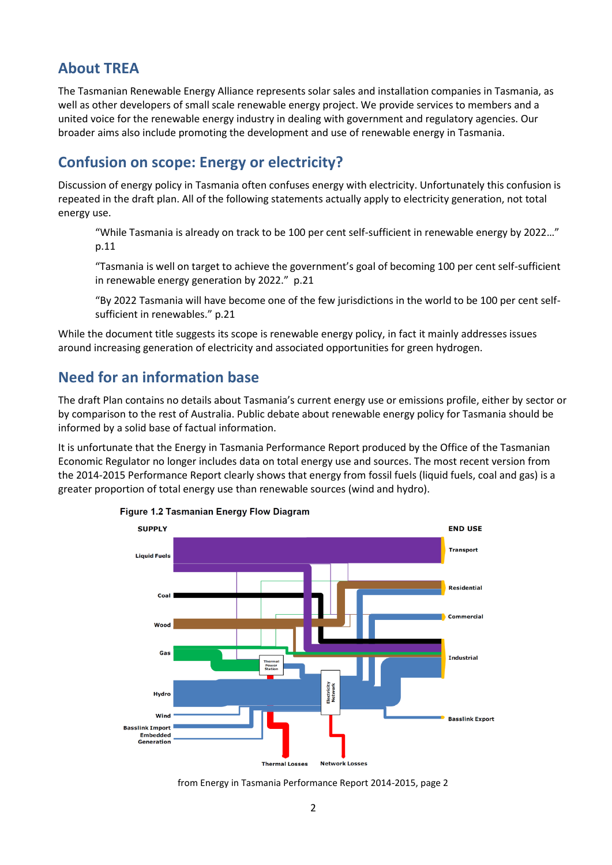## **About TREA**

The Tasmanian Renewable Energy Alliance represents solar sales and installation companies in Tasmania, as well as other developers of small scale renewable energy project. We provide services to members and a united voice for the renewable energy industry in dealing with government and regulatory agencies. Our broader aims also include promoting the development and use of renewable energy in Tasmania.

# **Confusion on scope: Energy or electricity?**

Discussion of energy policy in Tasmania often confuses energy with electricity. Unfortunately this confusion is repeated in the draft plan. All of the following statements actually apply to electricity generation, not total energy use.

"While Tasmania is already on track to be 100 per cent self-sufficient in renewable energy by 2022…" p.11

"Tasmania is well on target to achieve the government's goal of becoming 100 per cent self-sufficient in renewable energy generation by 2022." p.21

"By 2022 Tasmania will have become one of the few jurisdictions in the world to be 100 per cent selfsufficient in renewables." p.21

While the document title suggests its scope is renewable energy policy, in fact it mainly addresses issues around increasing generation of electricity and associated opportunities for green hydrogen.

# **Need for an information base**

The draft Plan contains no details about Tasmania's current energy use or emissions profile, either by sector or by comparison to the rest of Australia. Public debate about renewable energy policy for Tasmania should be informed by a solid base of factual information.

It is unfortunate that the Energy in Tasmania Performance Report produced by the Office of the Tasmanian Economic Regulator no longer includes data on total energy use and sources. The most recent version from the 2014-2015 Performance Report clearly shows that energy from fossil fuels (liquid fuels, coal and gas) is a greater proportion of total energy use than renewable sources (wind and hydro).



#### Figure 1.2 Tasmanian Energy Flow Diagram

from Energy in Tasmania Performance Report 2014-2015, page 2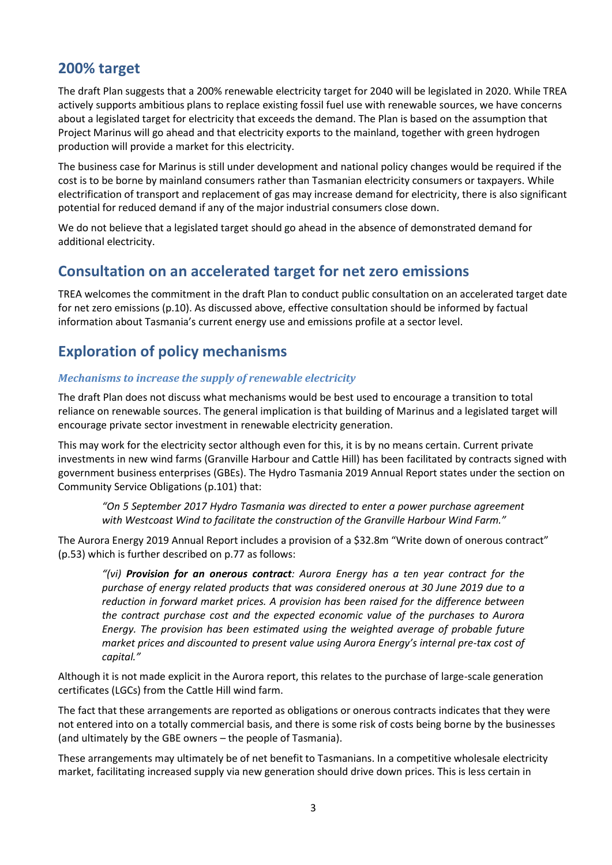### **200% target**

The draft Plan suggests that a 200% renewable electricity target for 2040 will be legislated in 2020. While TREA actively supports ambitious plans to replace existing fossil fuel use with renewable sources, we have concerns about a legislated target for electricity that exceeds the demand. The Plan is based on the assumption that Project Marinus will go ahead and that electricity exports to the mainland, together with green hydrogen production will provide a market for this electricity.

The business case for Marinus is still under development and national policy changes would be required if the cost is to be borne by mainland consumers rather than Tasmanian electricity consumers or taxpayers. While electrification of transport and replacement of gas may increase demand for electricity, there is also significant potential for reduced demand if any of the major industrial consumers close down.

We do not believe that a legislated target should go ahead in the absence of demonstrated demand for additional electricity.

### **Consultation on an accelerated target for net zero emissions**

TREA welcomes the commitment in the draft Plan to conduct public consultation on an accelerated target date for net zero emissions (p.10). As discussed above, effective consultation should be informed by factual information about Tasmania's current energy use and emissions profile at a sector level.

# **Exploration of policy mechanisms**

#### *Mechanisms to increase the supply of renewable electricity*

The draft Plan does not discuss what mechanisms would be best used to encourage a transition to total reliance on renewable sources. The general implication is that building of Marinus and a legislated target will encourage private sector investment in renewable electricity generation.

This may work for the electricity sector although even for this, it is by no means certain. Current private investments in new wind farms (Granville Harbour and Cattle Hill) has been facilitated by contracts signed with government business enterprises (GBEs). The Hydro Tasmania 2019 Annual Report states under the section on Community Service Obligations (p.101) that:

*"On 5 September 2017 Hydro Tasmania was directed to enter a power purchase agreement with Westcoast Wind to facilitate the construction of the Granville Harbour Wind Farm."*

The Aurora Energy 2019 Annual Report includes a provision of a \$32.8m "Write down of onerous contract" (p.53) which is further described on p.77 as follows:

*"(vi) Provision for an onerous contract: Aurora Energy has a ten year contract for the purchase of energy related products that was considered onerous at 30 June 2019 due to a reduction in forward market prices. A provision has been raised for the difference between the contract purchase cost and the expected economic value of the purchases to Aurora Energy. The provision has been estimated using the weighted average of probable future market prices and discounted to present value using Aurora Energy's internal pre-tax cost of capital."*

Although it is not made explicit in the Aurora report, this relates to the purchase of large-scale generation certificates (LGCs) from the Cattle Hill wind farm.

The fact that these arrangements are reported as obligations or onerous contracts indicates that they were not entered into on a totally commercial basis, and there is some risk of costs being borne by the businesses (and ultimately by the GBE owners – the people of Tasmania).

These arrangements may ultimately be of net benefit to Tasmanians. In a competitive wholesale electricity market, facilitating increased supply via new generation should drive down prices. This is less certain in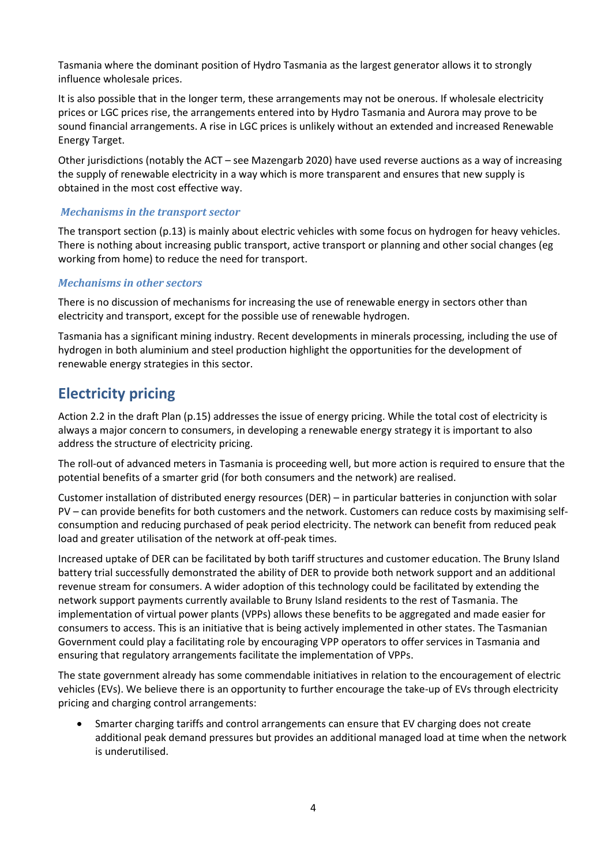Tasmania where the dominant position of Hydro Tasmania as the largest generator allows it to strongly influence wholesale prices.

It is also possible that in the longer term, these arrangements may not be onerous. If wholesale electricity prices or LGC prices rise, the arrangements entered into by Hydro Tasmania and Aurora may prove to be sound financial arrangements. A rise in LGC prices is unlikely without an extended and increased Renewable Energy Target.

Other jurisdictions (notably the ACT – see Mazengarb 2020) have used reverse auctions as a way of increasing the supply of renewable electricity in a way which is more transparent and ensures that new supply is obtained in the most cost effective way.

#### *Mechanisms in the transport sector*

The transport section (p.13) is mainly about electric vehicles with some focus on hydrogen for heavy vehicles. There is nothing about increasing public transport, active transport or planning and other social changes (eg working from home) to reduce the need for transport.

#### *Mechanisms in other sectors*

There is no discussion of mechanisms for increasing the use of renewable energy in sectors other than electricity and transport, except for the possible use of renewable hydrogen.

Tasmania has a significant mining industry. Recent developments in minerals processing, including the use of hydrogen in both aluminium and steel production highlight the opportunities for the development of renewable energy strategies in this sector.

### **Electricity pricing**

Action 2.2 in the draft Plan (p.15) addresses the issue of energy pricing. While the total cost of electricity is always a major concern to consumers, in developing a renewable energy strategy it is important to also address the structure of electricity pricing.

The roll-out of advanced meters in Tasmania is proceeding well, but more action is required to ensure that the potential benefits of a smarter grid (for both consumers and the network) are realised.

Customer installation of distributed energy resources (DER) – in particular batteries in conjunction with solar PV – can provide benefits for both customers and the network. Customers can reduce costs by maximising selfconsumption and reducing purchased of peak period electricity. The network can benefit from reduced peak load and greater utilisation of the network at off-peak times.

Increased uptake of DER can be facilitated by both tariff structures and customer education. The Bruny Island battery trial successfully demonstrated the ability of DER to provide both network support and an additional revenue stream for consumers. A wider adoption of this technology could be facilitated by extending the network support payments currently available to Bruny Island residents to the rest of Tasmania. The implementation of virtual power plants (VPPs) allows these benefits to be aggregated and made easier for consumers to access. This is an initiative that is being actively implemented in other states. The Tasmanian Government could play a facilitating role by encouraging VPP operators to offer services in Tasmania and ensuring that regulatory arrangements facilitate the implementation of VPPs.

The state government already has some commendable initiatives in relation to the encouragement of electric vehicles (EVs). We believe there is an opportunity to further encourage the take-up of EVs through electricity pricing and charging control arrangements:

 Smarter charging tariffs and control arrangements can ensure that EV charging does not create additional peak demand pressures but provides an additional managed load at time when the network is underutilised.